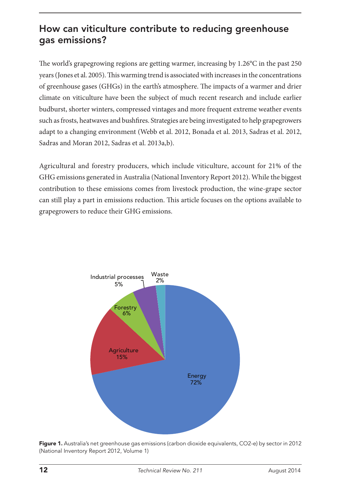# How can viticulture contribute to reducing greenhouse gas emissions?

The world's grapegrowing regions are getting warmer, increasing by 1.26°C in the past 250 years (Jones et al. 2005). This warming trend is associated with increases in the concentrations of greenhouse gases (GHGs) in the earth's atmosphere. The impacts of a warmer and drier climate on viticulture have been the subject of much recent research and include earlier budburst, shorter winters, compressed vintages and more frequent extreme weather events such as frosts, heatwaves and bushfires. Strategies are being investigated to help grapegrowers adapt to a changing environment (Webb et al. 2012, Bonada et al. 2013, Sadras et al. 2012, Sadras and Moran 2012, Sadras et al. 2013a,b).

Agricultural and forestry producers, which include viticulture, account for 21% of the GHG emissions generated in Australia (National Inventory Report 2012). While the biggest contribution to these emissions comes from livestock production, the wine-grape sector can still play a part in emissions reduction. This article focuses on the options available to grapegrowers to reduce their GHG emissions.



Figure 1. Australia's net greenhouse gas emissions (carbon dioxide equivalents, CO2-e) by sector in 2012 (National Inventory Report 2012, Volume 1)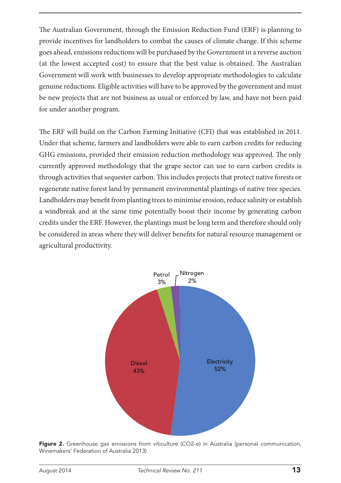The Australian Government, through the Emission Reduction Fund (ERF) is planning to provide incentives for landholders to combat the causes of climate change. If this scheme goes ahead, emissions reductions will be purchased by the Government in a reverse auction (at the lowest accepted cost) to ensure that the best value is obtained. The Australian Government will work with businesses to develop appropriate methodologies to calculate genuine reductions. Eligible activities will have to be approved by the government and must be new projects that are not business as usual or enforced by law, and have not been paid for under another program. ivities will have to

The ERF will build on the Carbon Farming Initiative (CFI) that was established in 2011. Under that scheme, farmers and landholders were able to earn carbon credits for reducing GHG emissions, provided their emission reduction methodology was approved. The only currently approved methodology that the grape sector can use to earn carbon credits is through activities that sequester carbon. This includes projects that protect native forests or regenerate native forest land by permanent environmental plantings of native tree species. Landholders may benefit from planting trees to minimise erosion, reduce salinity or establish a windbreak and at the same time potentially boost their income by generating carbon credits under the ERF. However, the plantings must be long term and therefore should only be considered in areas where they will deliver benefits for natural resource management or agricultural productivity.



Figure 2. Greenhouse gas emissions from viticulture (CO2-e) in Australia (personal communication, Winemakers' Federation of Australia 2013)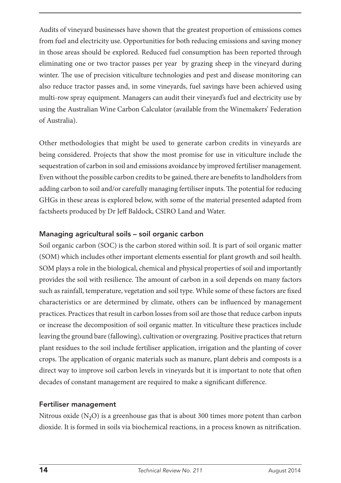Audits of vineyard businesses have shown that the greatest proportion of emissions comes from fuel and electricity use. Opportunities for both reducing emissions and saving money in those areas should be explored. Reduced fuel consumption has been reported through eliminating one or two tractor passes per year by grazing sheep in the vineyard during winter. The use of precision viticulture technologies and pest and disease monitoring can also reduce tractor passes and, in some vineyards, fuel savings have been achieved using multi-row spray equipment. Managers can audit their vineyard's fuel and electricity use by using the Australian Wine Carbon Calculator (available from the Winemakers' Federation of Australia).

Other methodologies that might be used to generate carbon credits in vineyards are being considered. Projects that show the most promise for use in viticulture include the sequestration of carbon in soil and emissions avoidance by improved fertiliser management. Even without the possible carbon credits to be gained, there are benefits to landholders from adding carbon to soil and/or carefully managing fertiliser inputs. The potential for reducing GHGs in these areas is explored below, with some of the material presented adapted from factsheets produced by Dr Jeff Baldock, CSIRO Land and Water.

# Managing agricultural soils – soil organic carbon

Soil organic carbon (SOC) is the carbon stored within soil. It is part of soil organic matter (SOM) which includes other important elements essential for plant growth and soil health. SOM plays a role in the biological, chemical and physical properties of soil and importantly provides the soil with resilience. The amount of carbon in a soil depends on many factors such as rainfall, temperature, vegetation and soil type. While some of these factors are fixed characteristics or are determined by climate, others can be influenced by management practices. Practices that result in carbon losses from soil are those that reduce carbon inputs or increase the decomposition of soil organic matter. In viticulture these practices include leaving the ground bare (fallowing), cultivation or overgrazing. Positive practices that return plant residues to the soil include fertiliser application, irrigation and the planting of cover crops. The application of organic materials such as manure, plant debris and composts is a direct way to improve soil carbon levels in vineyards but it is important to note that often decades of constant management are required to make a significant difference.

# Fertiliser management

Nitrous oxide (N**2**O) is a greenhouse gas that is about 300 times more potent than carbon dioxide. It is formed in soils via biochemical reactions, in a process known as nitrification.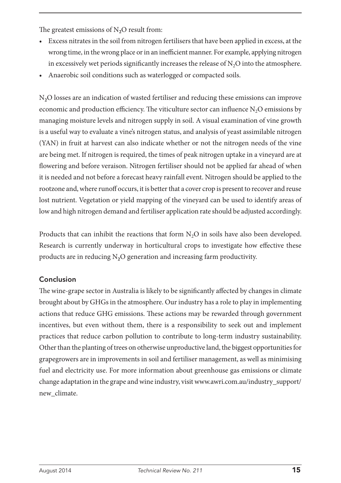The greatest emissions of N<sub>2</sub>O result from:

- • Excess nitrates in the soil from nitrogen fertilisers that have been applied in excess, at the wrong time, in the wrong place or in an inefficient manner. For example, applying nitrogen in excessively wet periods significantly increases the release of  $N_2O$  into the atmosphere.
- Anaerobic soil conditions such as waterlogged or compacted soils.

N**2**O losses are an indication of wasted fertiliser and reducing these emissions can improve economic and production efficiency. The viticulture sector can influence  $N_2O$  emissions by managing moisture levels and nitrogen supply in soil. A visual examination of vine growth is a useful way to evaluate a vine's nitrogen status, and analysis of yeast assimilable nitrogen (YAN) in fruit at harvest can also indicate whether or not the nitrogen needs of the vine are being met. If nitrogen is required, the times of peak nitrogen uptake in a vineyard are at flowering and before veraison. Nitrogen fertiliser should not be applied far ahead of when it is needed and not before a forecast heavy rainfall event. Nitrogen should be applied to the rootzone and, where runoff occurs, it is better that a cover crop is present to recover and reuse lost nutrient. Vegetation or yield mapping of the vineyard can be used to identify areas of low and high nitrogen demand and fertiliser application rate should be adjusted accordingly.

Products that can inhibit the reactions that form  $N<sub>2</sub>O$  in soils have also been developed. Research is currently underway in horticultural crops to investigate how effective these products are in reducing N**2**O generation and increasing farm productivity.

# Conclusion

The wine-grape sector in Australia is likely to be significantly affected by changes in climate brought about by GHGs in the atmosphere. Our industry has a role to play in implementing actions that reduce GHG emissions. These actions may be rewarded through government incentives, but even without them, there is a responsibility to seek out and implement practices that reduce carbon pollution to contribute to long-term industry sustainability. Other than the planting of trees on otherwise unproductive land, the biggest opportunities for grapegrowers are in improvements in soil and fertiliser management, as well as minimising fuel and electricity use. For more information about greenhouse gas emissions or climate change adaptation in the grape and wine industry, visit [www.awri.com.au/industry\\_support/](http://www.awri.com.au/industry_support/new_climate) [new\\_climate.](http://www.awri.com.au/industry_support/new_climate)